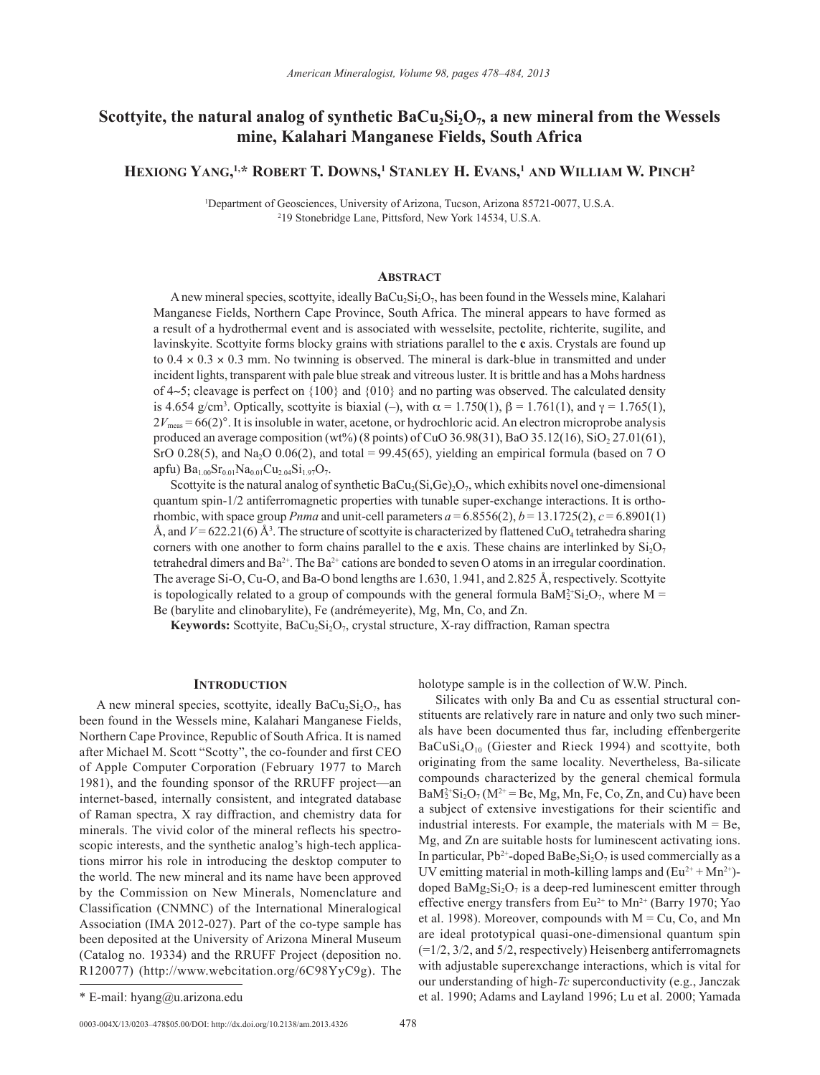# Scottyite, the natural analog of synthetic BaCu<sub>2</sub>Si<sub>2</sub>O<sub>7</sub>, a new mineral from the Wessels **mine, Kalahari Manganese Fields, South Africa**

**Hexiong Yang, 1,\* Robert T. Downs, <sup>1</sup> Stanley H. Evans, <sup>1</sup> and William W. Pinch2**

1 Department of Geosciences, University of Arizona, Tucson, Arizona 85721-0077, U.S.A. 2 19 Stonebridge Lane, Pittsford, New York 14534, U.S.A.

## **ABSTRACT**

A new mineral species, scottyite, ideally  $BaCu<sub>2</sub>Si<sub>2</sub>O<sub>7</sub>$ , has been found in the Wessels mine, Kalahari Manganese Fields, Northern Cape Province, South Africa. The mineral appears to have formed as a result of a hydrothermal event and is associated with wesselsite, pectolite, richterite, sugilite, and lavinskyite. Scottyite forms blocky grains with striations parallel to the **c** axis. Crystals are found up to  $0.4 \times 0.3 \times 0.3$  mm. No twinning is observed. The mineral is dark-blue in transmitted and under incident lights, transparent with pale blue streak and vitreous luster. It is brittle and has a Mohs hardness of 4∼5; cleavage is perfect on {100} and {010} and no parting was observed. The calculated density is 4.654 g/cm<sup>3</sup>. Optically, scottyite is biaxial (–), with  $\alpha = 1.750(1)$ ,  $\beta = 1.761(1)$ , and  $\gamma = 1.765(1)$ ,  $2V_{\text{meas}} = 66(2)$ °. It is insoluble in water, acetone, or hydrochloric acid. An electron microprobe analysis produced an average composition (wt%) (8 points) of CuO 36.98(31), BaO 35.12(16), SiO<sub>2</sub> 27.01(61), SrO 0.28(5), and Na<sub>2</sub>O 0.06(2), and total = 99.45(65), yielding an empirical formula (based on 7 O apfu)  $Ba_{1.00}Sr_{0.01}Na_{0.01}Cu_{2.04}Si_{1.97}O_7.$ 

Scottyite is the natural analog of synthetic  $BaCu<sub>2</sub>(Si,Ge)<sub>2</sub>O<sub>7</sub>$ , which exhibits novel one-dimensional quantum spin-1/2 antiferromagnetic properties with tunable super-exchange interactions. It is orthorhombic, with space group *Pnma* and unit-cell parameters  $a = 6.8556(2)$ ,  $b = 13.1725(2)$ ,  $c = 6.8901(1)$ Å, and  $V = 622.21(6)$  Å<sup>3</sup>. The structure of scottyite is characterized by flattened CuO<sub>4</sub> tetrahedra sharing corners with one another to form chains parallel to the **c** axis. These chains are interlinked by  $Si<sub>2</sub>O<sub>7</sub>$ tetrahedral dimers and  $Ba^{2+}$ . The  $Ba^{2+}$  cations are bonded to seven O atoms in an irregular coordination. The average Si-O, Cu-O, and Ba-O bond lengths are 1.630, 1.941, and 2.825 Å, respectively. Scottyite is topologically related to a group of compounds with the general formula  $BaM_2^2-Si_2O_7$ , where M = Be (barylite and clinobarylite), Fe (andrémeyerite), Mg, Mn, Co, and Zn.

**Keywords:** Scottyite, BaCu<sub>2</sub>Si<sub>2</sub>O<sub>7</sub>, crystal structure, X-ray diffraction, Raman spectra

### **INTRODUCTION**

A new mineral species, scottyite, ideally  $BaCu<sub>2</sub>Si<sub>2</sub>O<sub>7</sub>$ , has been found in the Wessels mine, Kalahari Manganese Fields, Northern Cape Province, Republic of South Africa. It is named after Michael M. Scott "Scotty", the co-founder and first CEO of Apple Computer Corporation (February 1977 to March 1981), and the founding sponsor of the RRUFF project—an internet-based, internally consistent, and integrated database of Raman spectra, X ray diffraction, and chemistry data for minerals. The vivid color of the mineral reflects his spectroscopic interests, and the synthetic analog's high-tech applications mirror his role in introducing the desktop computer to the world. The new mineral and its name have been approved by the Commission on New Minerals, Nomenclature and Classification (CNMNC) of the International Mineralogical Association (IMA 2012-027). Part of the co-type sample has been deposited at the University of Arizona Mineral Museum (Catalog no. 19334) and the RRUFF Project (deposition no. R120077) (http://www.webcitation.org/6C98YyC9g). The holotype sample is in the collection of W.W. Pinch.

Silicates with only Ba and Cu as essential structural constituents are relatively rare in nature and only two such minerals have been documented thus far, including effenbergerite  $BaCuSi<sub>4</sub>O<sub>10</sub>$  (Giester and Rieck 1994) and scottyite, both originating from the same locality. Nevertheless, Ba-silicate compounds characterized by the general chemical formula  $BaM_2^{2+}Si_2O_7(M^{2+} = Be, Mg, Mn, Fe, Co, Zn, and Cu) have been$ a subject of extensive investigations for their scientific and industrial interests. For example, the materials with  $M = Be$ , Mg, and Zn are suitable hosts for luminescent activating ions. In particular,  $Pb^{2+}$ -doped BaBe<sub>2</sub>Si<sub>2</sub>O<sub>7</sub> is used commercially as a UV emitting material in moth-killing lamps and  $(Eu^{2+} + Mn^{2+})$ doped  $BaMg_2Si_2O_7$  is a deep-red luminescent emitter through effective energy transfers from  $Eu^{2+}$  to  $Mn^{2+}$  (Barry 1970; Yao et al. 1998). Moreover, compounds with  $M = Cu$ , Co, and Mn are ideal prototypical quasi-one-dimensional quantum spin  $(=1/2, 3/2,$  and  $5/2$ , respectively) Heisenberg antiferromagnets with adjustable superexchange interactions, which is vital for our understanding of high-*Tc* superconductivity (e.g., Janczak \* E-mail: hyang@u.arizona.edu et al. 1990; Adams and Layland 1996; Lu et al. 2000; Yamada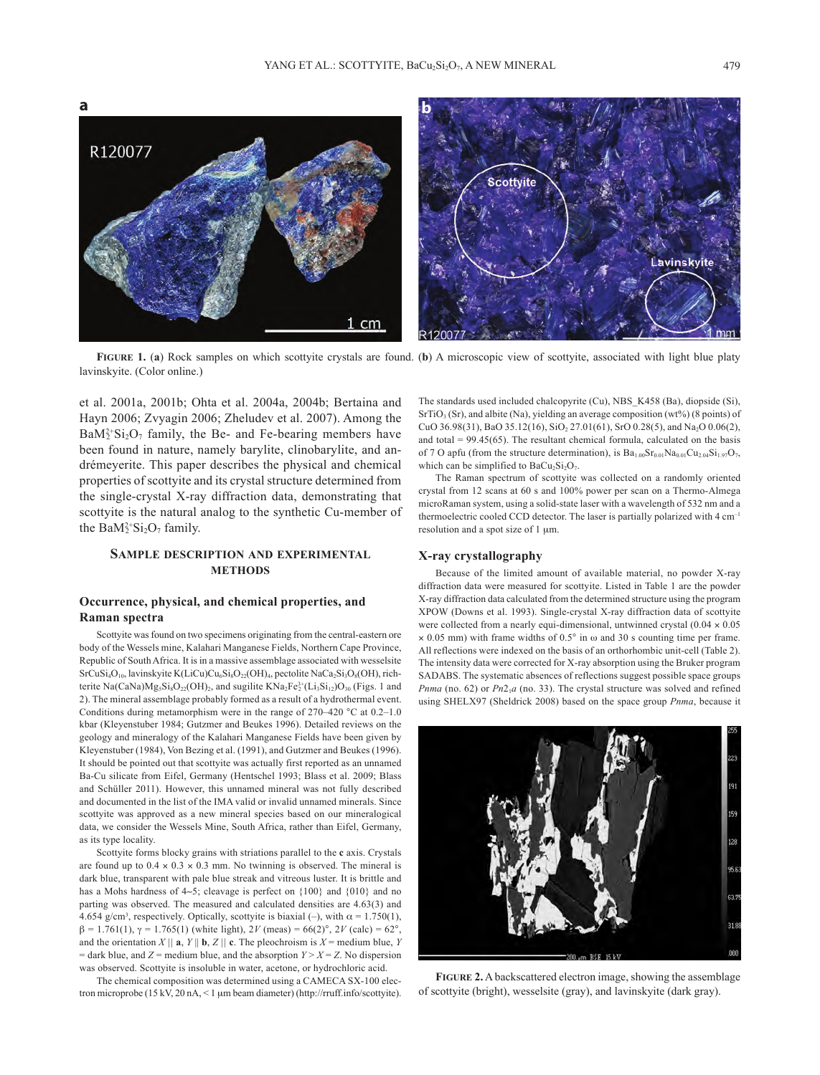

**Figure 1.** (**a**) Rock samples on which scottyite crystals are found. (**b**) A microscopic view of scottyite, associated with light blue platy lavinskyite. (Color online.)

et al. 2001a, 2001b; Ohta et al. 2004a, 2004b; Bertaina and Hayn 2006; Zvyagin 2006; Zheludev et al. 2007). Among the  $BaM_2^{2+}Si_2O_7$  family, the Be- and Fe-bearing members have been found in nature, namely barylite, clinobarylite, and andrémeyerite. This paper describes the physical and chemical properties of scottyite and its crystal structure determined from the single-crystal X-ray diffraction data, demonstrating that scottyite is the natural analog to the synthetic Cu-member of the Ba $M_2^{2+}Si_2O_7$  family.

# **Sample description and experimental methods**

# **Occurrence, physical, and chemical properties, and Raman spectra**

Scottyite was found on two specimens originating from the central-eastern ore body of the Wessels mine, Kalahari Manganese Fields, Northern Cape Province, Republic of South Africa. It is in a massive assemblage associated with wesselsite  $SrCuSi<sub>4</sub>O<sub>10</sub>$ , lavinskyite K(LiCu)Cu<sub>6</sub>Si<sub>8</sub>O<sub>22</sub>(OH)<sub>4</sub>, pectolite NaCa<sub>2</sub>Si<sub>3</sub>O<sub>8</sub>(OH), richterite Na(CaNa) $Mg_5Si_8O_{22}(OH)_2$ , and sugilite  $KNa_2Fe^{3+}_2(Li_3Si_{12})O_{30}$  (Figs. 1 and 2). The mineral assemblage probably formed as a result of a hydrothermal event. Conditions during metamorphism were in the range of 270–420 °C at 0.2–1.0 kbar (Kleyenstuber 1984; Gutzmer and Beukes 1996). Detailed reviews on the geology and mineralogy of the Kalahari Manganese Fields have been given by Kleyenstuber (1984), Von Bezing et al. (1991), and Gutzmer and Beukes (1996). It should be pointed out that scottyite was actually first reported as an unnamed Ba-Cu silicate from Eifel, Germany (Hentschel 1993; Blass et al. 2009; Blass and Schüller 2011). However, this unnamed mineral was not fully described and documented in the list of the IMA valid or invalid unnamed minerals. Since scottyite was approved as a new mineral species based on our mineralogical data, we consider the Wessels Mine, South Africa, rather than Eifel, Germany, as its type locality.

Scottyite forms blocky grains with striations parallel to the **c** axis. Crystals are found up to  $0.4 \times 0.3 \times 0.3$  mm. No twinning is observed. The mineral is dark blue, transparent with pale blue streak and vitreous luster. It is brittle and has a Mohs hardness of 4∼5; cleavage is perfect on {100} and {010} and no parting was observed. The measured and calculated densities are 4.63(3) and 4.654 g/cm<sup>3</sup>, respectively. Optically, scottyite is biaxial (–), with  $\alpha = 1.750(1)$ ,  $β = 1.761(1), γ = 1.765(1)$  (white light), 2*V* (meas) = 66(2)°, 2*V* (calc) = 62°, and the orientation *X* || **a**, *Y* || **b**, *Z* || **c**. The pleochroism is *X* = medium blue, *Y*  $=$  dark blue, and *Z* = medium blue, and the absorption *Y* > *X* = *Z*. No dispersion was observed. Scottyite is insoluble in water, acetone, or hydrochloric acid.

The chemical composition was determined using a CAMECA SX-100 electron microprobe (15 kV, 20 nA, < 1 µm beam diameter) (http://rruff.info/scottyite). The standards used included chalcopyrite (Cu), NBS\_K458 (Ba), diopside (Si),  $SrTiO<sub>3</sub>(Sr)$ , and albite (Na), yielding an average composition (wt%) (8 points) of CuO 36.98(31), BaO 35.12(16), SiO<sub>2</sub> 27.01(61), SrO 0.28(5), and Na<sub>2</sub>O 0.06(2), and total  $= 99.45(65)$ . The resultant chemical formula, calculated on the basis of 7 O apfu (from the structure determination), is  $Ba_{1.00}Sr_{0.01}Na_{0.01}Cu_{2.04}Si_{1.97}O_7$ , which can be simplified to  $BaCu<sub>2</sub>Si<sub>2</sub>O<sub>7</sub>$ .

The Raman spectrum of scottyite was collected on a randomly oriented crystal from 12 scans at 60 s and 100% power per scan on a Thermo-Almega microRaman system, using a solid-state laser with a wavelength of 532 nm and a thermoelectric cooled CCD detector. The laser is partially polarized with 4 cm–1 resolution and a spot size of 1  $\mu$ m.

### **X‑ray crystallography**

Because of the limited amount of available material, no powder X-ray diffraction data were measured for scottyite. Listed in Table 1 are the powder X-ray diffraction data calculated from the determined structure using the program XPOW (Downs et al. 1993). Single-crystal X-ray diffraction data of scottyite were collected from a nearly equi-dimensional, untwinned crystal  $(0.04 \times 0.05)$  $\times$  0.05 mm) with frame widths of 0.5° in  $\omega$  and 30 s counting time per frame. All reflections were indexed on the basis of an orthorhombic unit-cell (Table 2). The intensity data were corrected for X-ray absorption using the Bruker program SADABS. The systematic absences of reflections suggest possible space groups *Pnma* (no. 62) or  $Pn2<sub>1</sub>a$  (no. 33). The crystal structure was solved and refined using SHELX97 (Sheldrick 2008) based on the space group *Pnma*, because it



**Figure 2.** A backscattered electron image, showing the assemblage of scottyite (bright), wesselsite (gray), and lavinskyite (dark gray).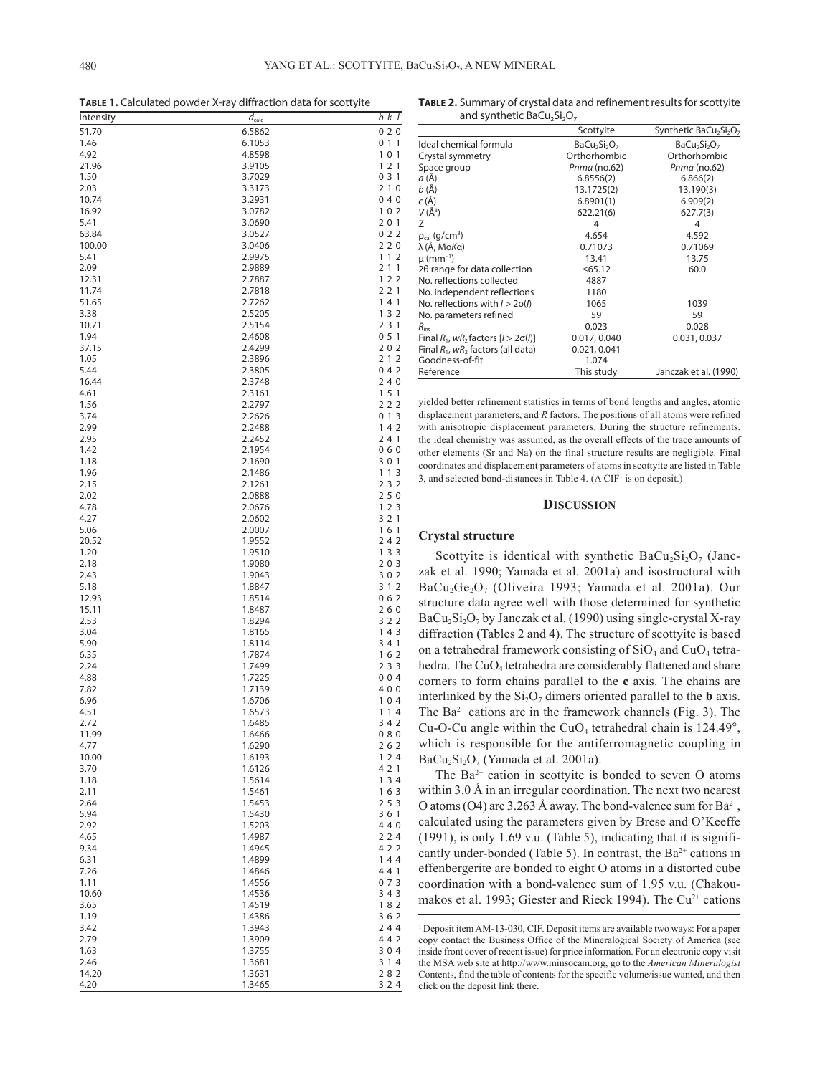**Table 1.** Calculated powder X-ray diffraction data for scottyite

| Intensity      | $d_{\text{calc}}$ | h k I      |
|----------------|-------------------|------------|
| 51.70          | 6.5862            | 020        |
| 1.46           | 6.1053            | 0 1 1      |
| 4.92           | 4.8598            | 101        |
| 21.96          | 3.9105            | 121        |
| 1.50           | 3.7029            | 031        |
| 2.03           | 3.3173            | 210        |
| 10.74<br>16.92 | 3.2931            | 040        |
| 5.41           | 3.0782<br>3.0690  | 102<br>201 |
| 63.84          | 3.0527            | 022        |
| 100.00         | 3.0406            | 220        |
| 5.41           | 2.9975            | 112        |
| 2.09           | 2.9889            | 211        |
| 12.31          | 2.7887            | 122        |
| 11.74          | 2.7818            | 221        |
| 51.65          | 2.7262            | 141        |
| 3.38           | 2.5205            | 132        |
| 10.71          | 2.5154            | 2 3 1      |
| 1.94           | 2.4608            | 051        |
| 37.15          | 2.4299            | 202        |
| 1.05<br>5.44   | 2.3896<br>2.3805  | 212<br>042 |
| 16.44          | 2.3748            | 240        |
| 4.61           | 2.3161            | 151        |
| 1.56           | 2.2797            | 222        |
| 3.74           | 2.2626            | 013        |
| 2.99           | 2.2488            | 142        |
| 2.95           | 2.2452            | 241        |
| 1.42           | 2.1954            | 060        |
| 1.18           | 2.1690            | 301        |
| 1.96           | 2.1486            | 113        |
| 2.15           | 2.1261            | 232        |
| 2.02           | 2.0888            | 250        |
| 4.78           | 2.0676            | 123        |
| 4.27           | 2.0602            | 3 2 1      |
| 5.06<br>20.52  | 2.0007            | 161<br>242 |
| 1.20           | 1.9552<br>1.9510  | 1 3 3      |
| 2.18           | 1.9080            | 203        |
| 2.43           | 1.9043            | 302        |
| 5.18           | 1.8847            | 3 1 2      |
| 12.93          | 1.8514            | 062        |
| 15.11          | 1.8487            | 260        |
| 2.53           | 1.8294            | 322        |
| 3.04           | 1.8165            | 143        |
| 5.90           | 1.8114            | 3 4 1      |
| 6.35           | 1.7874            | 162        |
| 2.24           | 1.7499            | 2 3 3      |
| 4.88           | 1.7225            | 004        |
| 7.82<br>6.96   | 1.7139<br>1.6706  | 400<br>104 |
| 4.51           | 1.6573            | 114        |
| 2.72           | 1.6485            | 342        |
| 11.99          | 1.6466            | 080        |
| 4.77           | 1.6290            | 262        |
| 10.00          | 1.6193            | 124        |
| 3.70           | 1.6126            | 4 2 1      |
| 1.18           | 1.5614            | 134        |
| 2.11           | 1.5461            | 163        |
| 2.64           | 1.5453            | 253        |
| 5.94           | 1.5430            | 361        |
| 2.92           | 1.5203            | 440        |
| 4.65           | 1.4987            | 224        |
| 9.34           | 1.4945            | 4 2 2      |
| 6.31           | 1.4899            | 144        |
| 7.26           | 1.4846            | 441        |
| 1.11<br>10.60  | 1.4556<br>1.4536  | 073<br>343 |
| 3.65           | 1.4519            | 182        |
| 1.19           | 1.4386            | 362        |
| 3.42           | 1.3943            | 244        |
| 2.79           | 1.3909            | 442        |
| 1.63           | 1.3755            | 304        |
| 2.46           | 1.3681            | 3 1 4      |
| 14.20          | 1.3631            | 282        |
| 4.20           | 1.3465            | 3 2 4      |

**Table 2.** Summary of crystal data and refinement results for scottyite and synthetic BaCu<sub>2</sub>Si<sub>2</sub>O<sub>7</sub>

|                                              | Scottyite    | Synthetic BaCu <sub>2</sub> Si <sub>2</sub> O <sub>7</sub> |
|----------------------------------------------|--------------|------------------------------------------------------------|
| Ideal chemical formula                       | $BaCu2Si2O7$ | BaCu <sub>2</sub> Si <sub>2</sub> O <sub>7</sub>           |
| Crystal symmetry                             | Orthorhombic | Orthorhombic                                               |
| Space group                                  | Pnma (no.62) | Pnma (no.62)                                               |
| a (Å)                                        | 6.8556(2)    | 6.866(2)                                                   |
| b (Å)                                        | 13.1725(2)   | 13.190(3)                                                  |
| c (Å)                                        | 6.8901(1)    | 6.909(2)                                                   |
| $V(\AA^3)$                                   | 622.21(6)    | 627.7(3)                                                   |
| Z                                            | 4            | 4                                                          |
| $\rho_{cal}$ (g/cm <sup>3</sup> )            | 4.654        | 4.592                                                      |
| λ (Å, MoΚα)                                  | 0.71073      | 0.71069                                                    |
| $\mu$ (mm <sup>-1</sup> )                    | 13.41        | 13.75                                                      |
| 20 range for data collection                 | ≤65.12       | 60.0                                                       |
| No. reflections collected                    | 4887         |                                                            |
| No. independent reflections                  | 1180         |                                                            |
| No. reflections with $1 > 2\sigma(l)$        | 1065         | 1039                                                       |
| No. parameters refined                       | 59           | 59                                                         |
| $R_{\text{int}}$                             | 0.023        | 0.028                                                      |
| Final $R_1$ , wR, factors $[1 > 2\sigma(l)]$ | 0.017, 0.040 | 0.031, 0.037                                               |
| Final $R_1$ , w $R_2$ factors (all data)     | 0.021, 0.041 |                                                            |
| Goodness-of-fit                              | 1.074        |                                                            |
| Reference                                    | This study   | Janczak et al. (1990)                                      |

yielded better refinement statistics in terms of bond lengths and angles, atomic displacement parameters, and *R* factors. The positions of all atoms were refined with anisotropic displacement parameters. During the structure refinements, the ideal chemistry was assumed, as the overall effects of the trace amounts of other elements (Sr and Na) on the final structure results are negligible. Final coordinates and displacement parameters of atoms in scottyite are listed in Table 3, and selected bond-distances in Table 4.  $(A \text{ CIF}^1 \text{ is on deposit.})$ 

#### **Discussion**

## **Crystal structure**

Scottyite is identical with synthetic BaCu<sub>2</sub>Si<sub>2</sub>O<sub>7</sub> (Janczak et al. 1990; Yamada et al. 2001a) and isostructural with BaCu<sub>2</sub>Ge<sub>2</sub>O<sub>7</sub> (Oliveira 1993; Yamada et al. 2001a). Our structure data agree well with those determined for synthetic  $BaCu<sub>2</sub>Si<sub>2</sub>O<sub>7</sub>$  by Janczak et al. (1990) using single-crystal X-ray diffraction (Tables 2 and 4). The structure of scottyite is based on a tetrahedral framework consisting of  $SiO<sub>4</sub>$  and  $CuO<sub>4</sub>$  tetrahedra. The CuO<sub>4</sub> tetrahedra are considerably flattened and share corners to form chains parallel to the **c** axis. The chains are interlinked by the  $Si<sub>2</sub>O<sub>7</sub>$  dimers oriented parallel to the **b** axis. The  $Ba^{2+}$  cations are in the framework channels (Fig. 3). The Cu-O-Cu angle within the CuO<sub>4</sub> tetrahedral chain is  $124.49^\circ$ , which is responsible for the antiferromagnetic coupling in  $BaCu<sub>2</sub>Si<sub>2</sub>O<sub>7</sub>$  (Yamada et al. 2001a).

The  $Ba^{2+}$  cation in scottyite is bonded to seven O atoms within 3.0 Å in an irregular coordination. The next two nearest O atoms (O4) are 3.263 Å away. The bond-valence sum for  $Ba^{2+}$ , calculated using the parameters given by Brese and O'Keeffe (1991), is only 1.69 v.u. (Table 5), indicating that it is significantly under-bonded (Table 5). In contrast, the  $Ba^{2+}$  cations in effenbergerite are bonded to eight O atoms in a distorted cube coordination with a bond-valence sum of 1.95 v.u. (Chakoumakos et al. 1993; Giester and Rieck 1994). The  $Cu<sup>2+</sup>$  cations

<sup>&</sup>lt;sup>1</sup> Deposit item AM-13-030, CIF. Deposit items are available two ways: For a paper copy contact the Business Office of the Mineralogical Society of America (see inside front cover of recent issue) for price information. For an electronic copy visit the MSA web site at http://www.minsocam.org, go to the *American Mineralogist* Contents, find the table of contents for the specific volume/issue wanted, and then click on the deposit link there.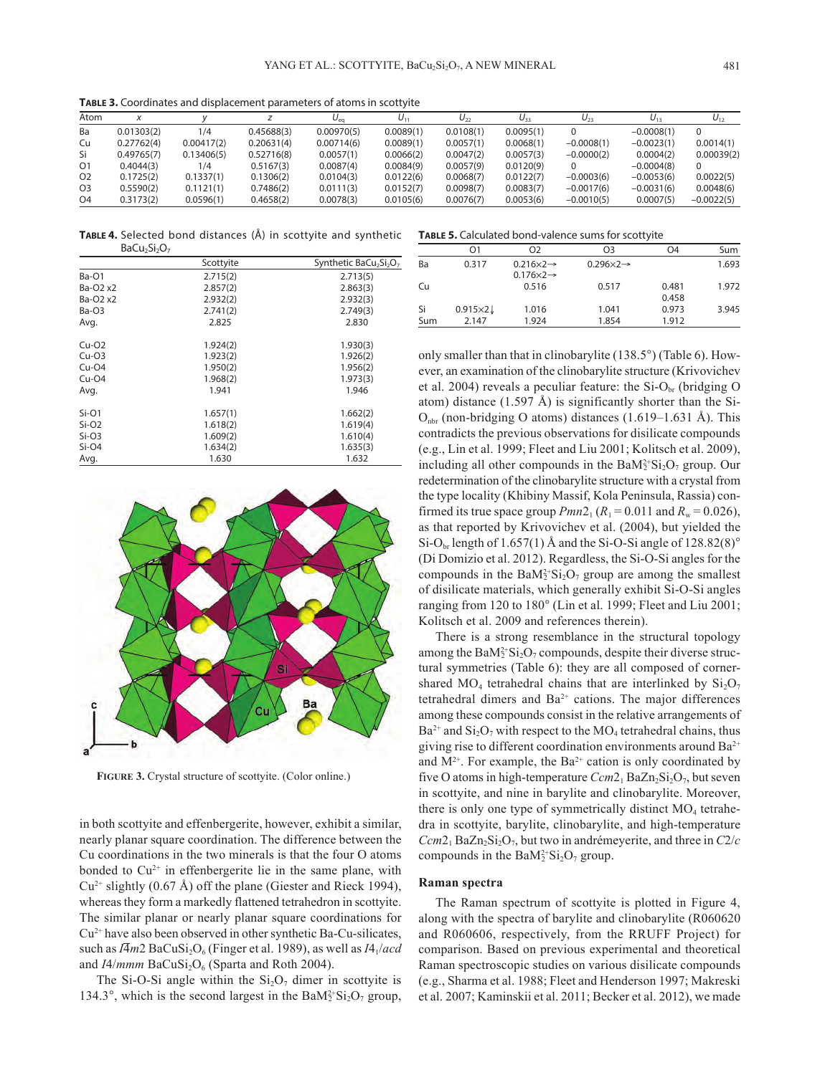**Table 3.** Coordinates and displacement parameters of atoms in scottyite

| Atom           |            |            |            | $U_{eq}$   | $U_{11}$  | $U_{22}$  | $U_{33}$  | $U_{23}$     | $U_{13}$     | $U_{12}$     |
|----------------|------------|------------|------------|------------|-----------|-----------|-----------|--------------|--------------|--------------|
| Ba             | 0.01303(2) | 1/4        | 0.45688(3) | 0.00970(5) | 0.0089(1) | 0.0108(1) | 0.0095(1) |              | $-0.0008(1)$ |              |
| Cu             | 0.27762(4) | 0.00417(2) | 0.20631(4) | 0.00714(6) | 0.0089(1) | 0.0057(1) | 0.0068(1) | $-0.0008(1)$ | $-0.0023(1)$ | 0.0014(1)    |
| Si             | 0.49765(7) | 0.13406(5) | 0.52716(8) | 0.0057(1)  | 0.0066(2) | 0.0047(2) | 0.0057(3) | $-0.0000(2)$ | 0.0004(2)    | 0.00039(2)   |
| O <sub>1</sub> | 0.4044(3)  | 1/4        | 0.5167(3)  | 0.0087(4)  | 0.0084(9) | 0.0057(9) | 0.0120(9) |              | $-0.0004(8)$ |              |
| O <sub>2</sub> | 0.1725(2)  | 0.1337(1)  | 0.1306(2)  | 0.0104(3)  | 0.0122(6) | 0.0068(7) | 0.0122(7) | $-0.0003(6)$ | $-0.0053(6)$ | 0.0022(5)    |
| O <sub>3</sub> | 0.5590(2)  | 0.1121(1)  | 0.7486(2)  | 0.0111(3)  | 0.0152(7) | 0.0098(7) | 0.0083(7) | $-0.0017(6)$ | $-0.0031(6)$ | 0.0048(6)    |
| O <sub>4</sub> | 0.3173(2)  | 0.0596(1)  | 0.4658(2)  | 0.0078(3)  | 0.0105(6) | 0.0076(7) | 0.0053(6) | $-0.0010(5)$ | 0.0007(5)    | $-0.0022(5)$ |

**Table 4.** Selected bond distances (Å) in scottyite and synthetic **Table 5.** Calculated bond-valence sums for scottyite BaCu<sub>2</sub>Si<sub>2</sub>O<sub>7</sub>

|                                  | Scottyite | Synthetic BaCu <sub>2</sub> Si <sub>2</sub> O <sub>7</sub> |
|----------------------------------|-----------|------------------------------------------------------------|
| Ba-O1                            | 2.715(2)  | 2.713(5)                                                   |
| Ba-O <sub>2</sub> x <sub>2</sub> | 2.857(2)  | 2.863(3)                                                   |
| Ba-O <sub>2</sub> x <sub>2</sub> | 2.932(2)  | 2.932(3)                                                   |
| $Ba-O3$                          | 2.741(2)  | 2.749(3)                                                   |
| Avg.                             | 2.825     | 2.830                                                      |
| $Cu-O2$                          | 1.924(2)  | 1.930(3)                                                   |
| $Cu-O3$                          | 1.923(2)  | 1.926(2)                                                   |
| $Cu-O4$                          | 1.950(2)  | 1.956(2)                                                   |
| $Cu-O4$                          | 1.968(2)  | 1.973(3)                                                   |
| Avg.                             | 1.941     | 1.946                                                      |
| $Si-O1$                          | 1.657(1)  | 1.662(2)                                                   |
| $Si-O2$                          | 1.618(2)  | 1.619(4)                                                   |
| $Si-O3$                          | 1.609(2)  | 1.610(4)                                                   |
| $Si-O4$                          | 1.634(2)  | 1.635(3)                                                   |
| Avg.                             | 1.630     | 1.632                                                      |



**Figure 3.** Crystal structure of scottyite. (Color online.)

in both scottyite and effenbergerite, however, exhibit a similar, nearly planar square coordination. The difference between the Cu coordinations in the two minerals is that the four O atoms bonded to  $Cu^{2+}$  in effenbergerite lie in the same plane, with  $Cu^{2+}$  slightly (0.67 Å) off the plane (Giester and Rieck 1994), whereas they form a markedly flattened tetrahedron in scottyite. The similar planar or nearly planar square coordinations for Cu2+ have also been observed in other synthetic Ba-Cu-silicates, such as  $I\overline{4}m2$  BaCuSi<sub>2</sub>O<sub>6</sub> (Finger et al. 1989), as well as  $I4_1/acd$ and *I4/mmm* BaCuSi<sub>2</sub>O<sub>6</sub> (Sparta and Roth 2004).

The Si-O-Si angle within the  $Si<sub>2</sub>O<sub>7</sub>$  dimer in scottyite is 134.3°, which is the second largest in the  $BaM_2^{2+}Si_2O_7$  group,

|           | O <sub>1</sub>          | O <sub>2</sub>                                               | O <sub>3</sub>               | O <sub>4</sub> | Sum   |
|-----------|-------------------------|--------------------------------------------------------------|------------------------------|----------------|-------|
| Ba        | 0.317                   | $0.216 \times 2 \rightarrow$<br>$0.176 \times 2 \rightarrow$ | $0.296 \times 2 \rightarrow$ |                | 1.693 |
| Cu        |                         | 0.516                                                        | 0.517                        | 0.481<br>0.458 | 1.972 |
| Si<br>Sum | $0.915\times2$<br>2.147 | 1.016<br>1.924                                               | 1.041<br>1.854               | 0.973<br>1.912 | 3.945 |

only smaller than that in clinobarylite (138.5°) (Table 6). However, an examination of the clinobarylite structure (Krivovichev et al. 2004) reveals a peculiar feature: the  $Si-O<sub>br</sub>$  (bridging O atom) distance (1.597 Å) is significantly shorter than the Si- $O<sub>nbr</sub>$  (non-bridging O atoms) distances (1.619–1.631 Å). This contradicts the previous observations for disilicate compounds (e.g., Lin et al. 1999; Fleet and Liu 2001; Kolitsch et al. 2009), including all other compounds in the  $BaM_2^2-Si_2O_7$  group. Our redetermination of the clinobarylite structure with a crystal from the type locality (Khibiny Massif, Kola Peninsula, Rassia) confirmed its true space group  $Pmn2_1 (R_1 = 0.011$  and  $R_w = 0.026$ ), as that reported by Krivovichev et al. (2004), but yielded the Si-O<sub>br</sub> length of 1.657(1) Å and the Si-O-Si angle of  $128.82(8)^\circ$ (Di Domizio et al. 2012). Regardless, the Si-O-Si angles for the compounds in the  $BaM_2^2-Si_2O_7$  group are among the smallest of disilicate materials, which generally exhibit Si-O-Si angles ranging from 120 to 180° (Lin et al. 1999; Fleet and Liu 2001; Kolitsch et al. 2009 and references therein).

There is a strong resemblance in the structural topology among the  $BaM_2^{2+}Si_2O_7$  compounds, despite their diverse structural symmetries (Table 6): they are all composed of cornershared MO<sub>4</sub> tetrahedral chains that are interlinked by  $Si<sub>2</sub>O<sub>7</sub>$ tetrahedral dimers and  $Ba^{2+}$  cations. The major differences among these compounds consist in the relative arrangements of  $Ba^{2+}$  and  $Si<sub>2</sub>O<sub>7</sub>$  with respect to the MO<sub>4</sub> tetrahedral chains, thus giving rise to different coordination environments around  $Ba^{2+}$ and  $M^{2+}$ . For example, the Ba<sup>2+</sup> cation is only coordinated by five O atoms in high-temperature  $Ccm2_1 BaZn_2Si_2O_7$ , but seven in scottyite, and nine in barylite and clinobarylite. Moreover, there is only one type of symmetrically distinct  $MO<sub>4</sub>$  tetrahedra in scottyite, barylite, clinobarylite, and high-temperature  $Ccm2<sub>1</sub> BaZn<sub>2</sub>Si<sub>2</sub>O<sub>7</sub>$ , but two in andrémeyerite, and three in  $C2/c$ compounds in the  $BaM_2^2-Si_2O_7$  group.

#### **Raman spectra**

The Raman spectrum of scottyite is plotted in Figure 4, along with the spectra of barylite and clinobarylite (R060620 and R060606, respectively, from the RRUFF Project) for comparison. Based on previous experimental and theoretical Raman spectroscopic studies on various disilicate compounds (e.g., Sharma et al. 1988; Fleet and Henderson 1997; Makreski et al. 2007; Kaminskii et al. 2011; Becker et al. 2012), we made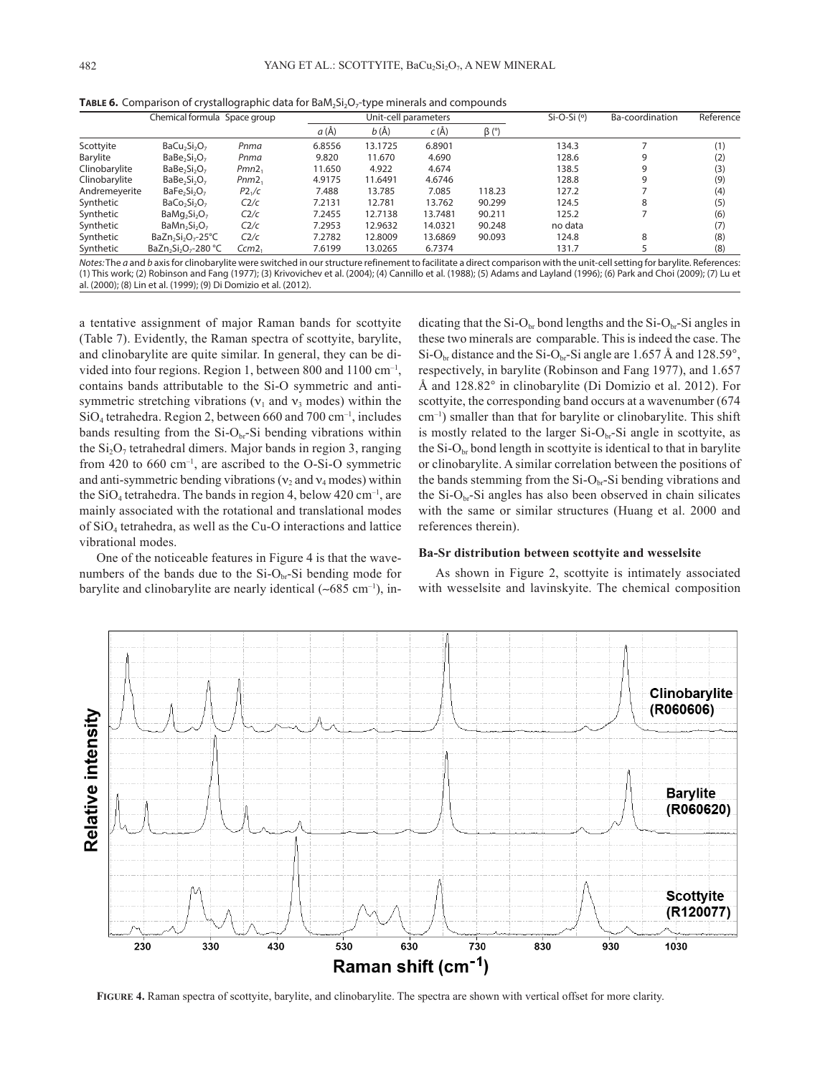|               | Chemical formula Space group                             |                    |        | Unit-cell parameters |          |             | $Si-O-Si$ ( $\circ$ ) | Ba-coordination                                                                                                                                                            | Reference |
|---------------|----------------------------------------------------------|--------------------|--------|----------------------|----------|-------------|-----------------------|----------------------------------------------------------------------------------------------------------------------------------------------------------------------------|-----------|
|               |                                                          |                    | a (Å)  | $b(\AA)$             | $c(\AA)$ | $\beta$ (°) |                       |                                                                                                                                                                            |           |
| Scottyite     | $BaCu2Si2O7$                                             | Pnma               | 6.8556 | 13.1725              | 6.8901   |             | 134.3                 |                                                                                                                                                                            | (1)       |
| Barylite      | BaBe <sub>2</sub> Si <sub>2</sub> O <sub>7</sub>         | Pnma               | 9.820  | 11.670               | 4.690    |             | 128.6                 | 9                                                                                                                                                                          | (2)       |
| Clinobarylite | $BaBe2Si2O7$                                             | Pmn2 <sub>1</sub>  | 11.650 | 4.922                | 4.674    |             | 138.5                 | 9                                                                                                                                                                          | (3)       |
| Clinobarylite | $BaBe2Si2O7$                                             | Pnm2               | 4.9175 | 11.6491              | 4.6746   |             | 128.8                 | 9                                                                                                                                                                          | (9)       |
| Andremeyerite | BaFe <sub>2</sub> Si <sub>2</sub> O <sub>7</sub>         | P2 <sub>1</sub> /c | 7.488  | 13.785               | 7.085    | 118.23      | 127.2                 |                                                                                                                                                                            | (4)       |
| Synthetic     | $BaCo2Si2O7$                                             | C2/c               | 7.2131 | 12.781               | 13.762   | 90.299      | 124.5                 | 8                                                                                                                                                                          | (5)       |
| Synthetic     | $BaMq2Si2O7$                                             | C2/c               | 7.2455 | 12.7138              | 13.7481  | 90.211      | 125.2                 |                                                                                                                                                                            | (6)       |
| Synthetic     | $BaMn2Si2O7$                                             | C2/c               | 7.2953 | 12.9632              | 14.0321  | 90.248      | no data               |                                                                                                                                                                            | (7)       |
| Synthetic     | $BaZn2Si2O7 - 25°C$                                      | C2/c               | 7.2782 | 12.8009              | 13.6869  | 90.093      | 124.8                 | 8                                                                                                                                                                          | (8)       |
| Synthetic     | BaZn <sub>2</sub> Si <sub>2</sub> O <sub>7</sub> -280 °C | Ccm <sub>2</sub>   | 7.6199 | 13.0265              | 6.7374   |             | 131.7                 |                                                                                                                                                                            | (8)       |
|               |                                                          |                    |        |                      |          |             |                       | Notes: The a and b axis for clinobarylite were switched in our structure refinement to facilitate a direct comparison with the unit-cell setting for barylite. References: |           |

**TABLE 6.** Comparison of crystallographic data for BaM<sub>2</sub>Si<sub>2</sub>O<sub>7</sub>-type minerals and compounds

*Notes:* The *a* and *b* axis for clinobarylite were switched in our structure refinement to facilitate a direct comparison with the unit-cell setting for barylite. References: (1) This work; (2) Robinson and Fang (1977); (3) Krivovichev et al. (2004); (4) Cannillo et al. (1988); (5) Adams and Layland (1996); (6) Park and Choi (2009); (7) Lu et al. (2000); (8) Lin et al. (1999); (9) Di Domizio et al. (2012).

a tentative assignment of major Raman bands for scottyite (Table 7). Evidently, the Raman spectra of scottyite, barylite, and clinobarylite are quite similar. In general, they can be divided into four regions. Region 1, between 800 and 1100 cm<sup>-1</sup>, contains bands attributable to the Si-O symmetric and antisymmetric stretching vibrations ( $v_1$  and  $v_3$  modes) within the SiO4 tetrahedra. Region 2, between 660 and 700 cm–1, includes bands resulting from the  $Si-O<sub>br</sub>-Si$  bending vibrations within the  $Si<sub>2</sub>O<sub>7</sub>$  tetrahedral dimers. Major bands in region 3, ranging from 420 to 660 cm<sup>-1</sup>, are ascribed to the O-Si-O symmetric and anti-symmetric bending vibrations ( $v_2$  and  $v_4$  modes) within the  $SiO_4$  tetrahedra. The bands in region 4, below 420 cm<sup>-1</sup>, are mainly associated with the rotational and translational modes of SiO4 tetrahedra, as well as the Cu-O interactions and lattice vibrational modes.

One of the noticeable features in Figure 4 is that the wavenumbers of the bands due to the  $Si-O<sub>br</sub>-Si$  bending mode for barylite and clinobarylite are nearly identical (∼685 cm–1), indicating that the Si-O<sub>br</sub> bond lengths and the Si-O<sub>br</sub>-Si angles in these two minerals are comparable. This is indeed the case. The  $Si-O<sub>br</sub>$  distance and the Si-O<sub>br</sub>-Si angle are 1.657 Å and 128.59°, respectively, in barylite (Robinson and Fang 1977), and 1.657 Å and 128.82° in clinobarylite (Di Domizio et al. 2012). For scottyite, the corresponding band occurs at a wavenumber  $(674)$ cm–1) smaller than that for barylite or clinobarylite. This shift is mostly related to the larger  $Si-O<sub>br</sub>-Si$  angle in scottyite, as the  $Si-O<sub>br</sub>$  bond length in scottyite is identical to that in barylite or clinobarylite. A similar correlation between the positions of the bands stemming from the  $Si-O<sub>br</sub>-Si$  bending vibrations and the  $Si-O<sub>br</sub>-Si$  angles has also been observed in chain silicates with the same or similar structures (Huang et al. 2000 and references therein).

### **Ba-Sr distribution between scottyite and wesselsite**

As shown in Figure 2, scottyite is intimately associated with wesselsite and lavinskyite. The chemical composition



**Figure 4.** Raman spectra of scottyite, barylite, and clinobarylite. The spectra are shown with vertical offset for more clarity.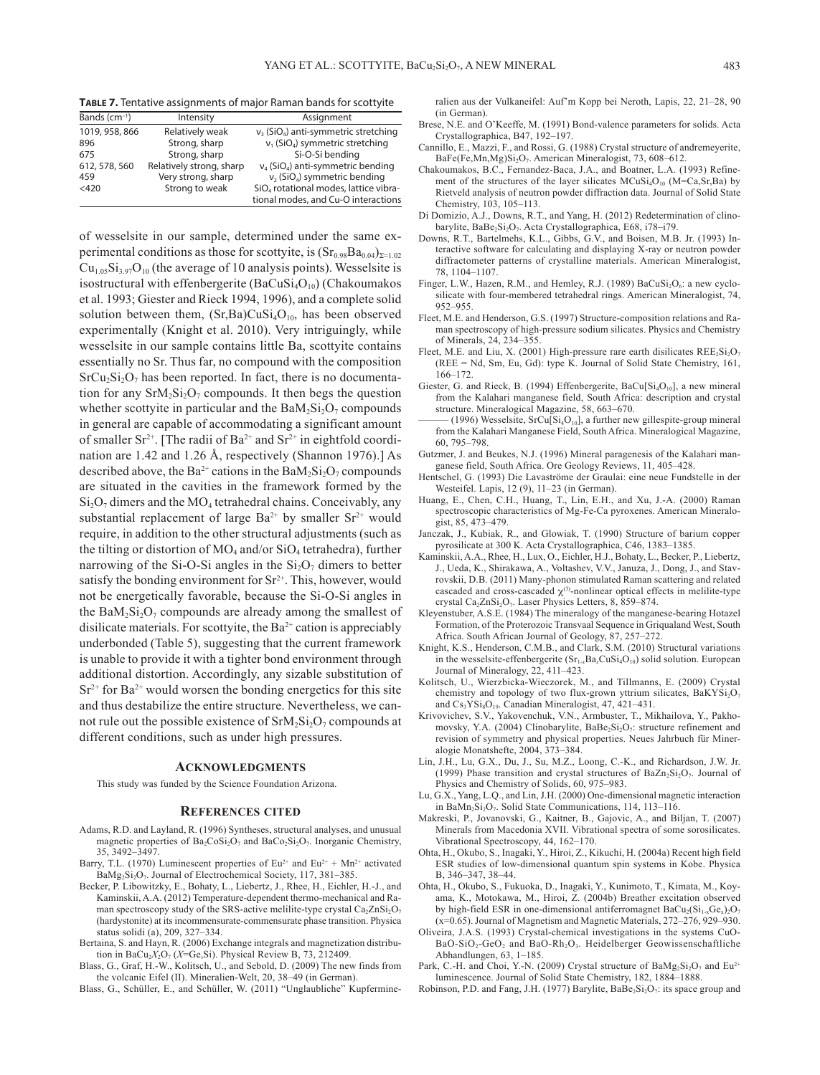**Table 7.** Tentative assignments of major Raman bands for scottyite

| Bands $(cm-1)$ | Intensity                | Assignment                                          |
|----------------|--------------------------|-----------------------------------------------------|
| 1019, 958, 866 | Relatively weak          | $v_3$ (SiO <sub>4</sub> ) anti-symmetric stretching |
| 896            | Strong, sharp            | $v_1$ (SiO <sub>4</sub> ) symmetric stretching      |
| 675            | Strong, sharp            | Si-O-Si bending                                     |
| 612, 578, 560  | Relatively strong, sharp | $v_4$ (SiO <sub>4</sub> ) anti-symmetric bending    |
| 459            | Very strong, sharp       | $v_2$ (SiO <sub>4</sub> ) symmetric bending         |
| $<$ 420        | Strong to weak           | SiO <sub>4</sub> rotational modes, lattice vibra-   |
|                |                          | tional modes, and Cu-O interactions                 |

of wesselsite in our sample, determined under the same experimental conditions as those for scottyite, is  $(Sr_{0.98}Ba_{0.04})_{\Sigma=1.02}$  $Cu<sub>1.05</sub>Si<sub>3.97</sub>O<sub>10</sub>$  (the average of 10 analysis points). Wesselsite is isostructural with effenbergerite ( $BaCuSi<sub>4</sub>O<sub>10</sub>$ ) (Chakoumakos et al. 1993; Giester and Rieck 1994, 1996), and a complete solid solution between them,  $(Sr, Ba)CuSi<sub>4</sub>O<sub>10</sub>$ , has been observed experimentally (Knight et al. 2010). Very intriguingly, while wesselsite in our sample contains little Ba, scottyite contains essentially no Sr. Thus far, no compound with the composition  $SrCu<sub>2</sub>Si<sub>2</sub>O<sub>7</sub>$  has been reported. In fact, there is no documentation for any  $SrM_2Si_2O_7$  compounds. It then begs the question whether scottyite in particular and the  $BaM_2Si_2O_7$  compounds in general are capable of accommodating a significant amount of smaller  $Sr^{2+}$ . [The radii of Ba<sup>2+</sup> and  $Sr^{2+}$  in eightfold coordination are 1.42 and 1.26 Å, respectively (Shannon 1976).] As described above, the Ba<sup>2+</sup> cations in the Ba $M_2Si_2O_7$  compounds are situated in the cavities in the framework formed by the  $Si<sub>2</sub>O<sub>7</sub>$  dimers and the MO<sub>4</sub> tetrahedral chains. Conceivably, any substantial replacement of large  $Ba^{2+}$  by smaller  $Sr^{2+}$  would require, in addition to the other structural adjustments (such as the tilting or distortion of  $MO_4$  and/or  $SiO_4$  tetrahedra), further narrowing of the Si-O-Si angles in the  $Si<sub>2</sub>O<sub>7</sub>$  dimers to better satisfy the bonding environment for  $Sr^{2+}$ . This, however, would not be energetically favorable, because the Si-O-Si angles in the  $BaM_2Si_2O_7$  compounds are already among the smallest of disilicate materials. For scottvite, the  $Ba^{2+}$  cation is appreciably underbonded (Table 5), suggesting that the current framework is unable to provide it with a tighter bond environment through additional distortion. Accordingly, any sizable substitution of  $Sr<sup>2+</sup>$  for Ba<sup>2+</sup> would worsen the bonding energetics for this site and thus destabilize the entire structure. Nevertheless, we cannot rule out the possible existence of  $SrM_2Si_2O_7$  compounds at different conditions, such as under high pressures.

#### **Acknowledgments**

This study was funded by the Science Foundation Arizona.

#### **References cited**

- Adams, R.D. and Layland, R. (1996) Syntheses, structural analyses, and unusual magnetic properties of  $Ba_2CoSi_2O_7$  and  $BaCo_2Si_2O_7$ . Inorganic Chemistry, 35, 3492–3497.
- Barry, T.L. (1970) Luminescent properties of  $Eu^{2+}$  and  $Eu^{2+} + Mn^{2+}$  activated BaMg<sub>2</sub>Si<sub>2</sub>O<sub>7</sub>. Journal of Electrochemical Society, 117, 381–385.
- Becker, P. Libowitzky, E., Bohaty, L., Liebertz, J., Rhee, H., Eichler, H.-J., and Kaminskii, A.A. (2012) Temperature-dependent thermo-mechanical and Raman spectroscopy study of the SRS-active melilite-type crystal  $Ca<sub>2</sub>ZnSi<sub>2</sub>O<sub>7</sub>$ (hardystonite) at its incommensurate-commensurate phase transition. Physica status solidi (a), 209, 327–334.
- Bertaina, S. and Hayn, R. (2006) Exchange integrals and magnetization distribution in BaCu<sub>2</sub>X<sub>2</sub>O<sub>7</sub> (*X*=Ge,Si). Physical Review B, 73, 212409.
- Blass, G., Graf, H.-W., Kolitsch, U., and Sebold, D. (2009) The new finds from the volcanic Eifel (II). Mineralien-Welt, 20, 38–49 (in German).
- Blass, G., Schüller, E., and Schüller, W. (2011) "Unglaubliche" Kupfermine-

ralien aus der Vulkaneifel: Auf'm Kopp bei Neroth, Lapis, 22, 21–28, 90 (in German).

- Brese, N.E. and O'Keeffe, M. (1991) Bond-valence parameters for solids. Acta Crystallographica, B47, 192–197.
- Cannillo, E., Mazzi, F., and Rossi, G. (1988) Crystal structure of andremeyerite, BaFe(Fe,Mn,Mg)Si<sub>2</sub>O<sub>7</sub>. American Mineralogist, 73, 608-612.
- Chakoumakos, B.C., Fernandez-Baca, J.A., and Boatner, L.A. (1993) Refinement of the structures of the layer silicates  $MCuSi<sub>4</sub>O<sub>10</sub>$  (M=Ca,Sr,Ba) by Rietveld analysis of neutron powder diffraction data. Journal of Solid State Chemistry, 103, 105–113.
- Di Domizio, A.J., Downs, R.T., and Yang, H. (2012) Redetermination of clinobarylite, BaBe<sub>2</sub>Si<sub>2</sub>O<sub>7</sub>. Acta Crystallographica, E68, i78-i79.
- Downs, R.T., Bartelmehs, K.L., Gibbs, G.V., and Boisen, M.B. Jr. (1993) Interactive software for calculating and displaying X-ray or neutron powder diffractometer patterns of crystalline materials. American Mineralogist, 78, 1104–1107.
- Finger, L.W., Hazen, R.M., and Hemley, R.J. (1989)  $BaCuSi<sub>2</sub>O<sub>6</sub>$ : a new cyclosilicate with four-membered tetrahedral rings. American Mineralogist, 74, 952–955.
- Fleet, M.E. and Henderson, G.S. (1997) Structure-composition relations and Raman spectroscopy of high-pressure sodium silicates. Physics and Chemistry of Minerals, 24, 234–355.
- Fleet, M.E. and Liu, X. (2001) High-pressure rare earth disilicates  $REE_2Si_2O_7$ (REE = Nd, Sm, Eu, Gd): type K. Journal of Solid State Chemistry, 161, 166–172.
- Giester, G. and Rieck, B. (1994) Effenbergerite, BaCu[Si<sub>4</sub>O<sub>10</sub>], a new mineral from the Kalahari manganese field, South Africa: description and crystal structure. Mineralogical Magazine, 58, 663–670.
- $-(1996)$  Wesselsite, SrCu[Si<sub>4</sub>O<sub>10</sub>], a further new gillespite-group mineral from the Kalahari Manganese Field, South Africa. Mineralogical Magazine, 60, 795–798.
- Gutzmer, J. and Beukes, N.J. (1996) Mineral paragenesis of the Kalahari manganese field, South Africa. Ore Geology Reviews, 11, 405–428.
- Hentschel, G. (1993) Die Lavaströme der Graulai: eine neue Fundstelle in der Westeifel. Lapis, 12 (9), 11–23 (in German).
- Huang, E., Chen, C.H., Huang, T., Lin, E.H., and Xu, J.-A. (2000) Raman spectroscopic characteristics of Mg-Fe-Ca pyroxenes. American Mineralogist, 85, 473–479.
- Janczak, J., Kubiak, R., and Glowiak, T. (1990) Structure of barium copper pyrosilicate at 300 K. Acta Crystallographica, C46, 1383–1385.
- Kaminskii, A.A., Rhee, H., Lux, O., Eichler, H.J., Bohaty, L., Becker, P., Liebertz, J., Ueda, K., Shirakawa, A., Voltashev, V.V., Januza, J., Dong, J., and Stavrovskii, D.B. (2011) Many-phonon stimulated Raman scattering and related cascaded and cross-cascaded  $\chi$ <sup>(3)</sup>-nonlinear optical effects in melilite-type crystal Ca2ZnSi2O7. Laser Physics Letters, 8, 859–874.
- Kleyenstuber, A.S.E. (1984) The mineralogy of the manganese-bearing Hotazel Formation, of the Proterozoic Transvaal Sequence in Griqualand West, South Africa. South African Journal of Geology, 87, 257–272.
- Knight, K.S., Henderson, C.M.B., and Clark, S.M. (2010) Structural variations in the wesselsite-effenbergerite  $(Sr_{1x}Ba_xCuSi_4O_{10})$  solid solution. European Journal of Mineralogy, 22, 411–423.
- Kolitsch, U., Wierzbicka-Wieczorek, M., and Tillmanns, E. (2009) Crystal chemistry and topology of two flux-grown yttrium silicates,  $BaKYSi<sub>2</sub>O<sub>7</sub>$ and Cs<sub>3</sub>YSi<sub>8</sub>O<sub>19</sub>. Canadian Mineralogist, 47, 421-431.
- Krivovichev, S.V., Yakovenchuk, V.N., Armbuster, T., Mikhailova, Y., Pakhomovsky, Y.A. (2004) Clinobarylite, BaBe<sub>2</sub>Si<sub>2</sub>O<sub>7</sub>: structure refinement and revision of symmetry and physical properties. Neues Jahrbuch für Mineralogie Monatshefte, 2004, 373–384.
- Lin, J.H., Lu, G.X., Du, J., Su, M.Z., Loong, C.-K., and Richardson, J.W. Jr. (1999) Phase transition and crystal structures of  $BaZn<sub>2</sub>Si<sub>2</sub>O<sub>7</sub>$ . Journal of Physics and Chemistry of Solids, 60, 975–983.
- Lu, G.X., Yang, L.Q., and Lin, J.H. (2000) One-dimensional magnetic interaction in BaMn<sub>2</sub>Si<sub>2</sub>O<sub>7</sub>. Solid State Communications, 114, 113–116.
- Makreski, P., Jovanovski, G., Kaitner, B., Gajovic, A., and Biljan, T. (2007) Minerals from Macedonia XVII. Vibrational spectra of some sorosilicates. Vibrational Spectroscopy, 44, 162–170.
- Ohta, H., Okubo, S., Inagaki, Y., Hiroi, Z., Kikuchi, H. (2004a) Recent high field ESR studies of low-dimensional quantum spin systems in Kobe. Physica B, 346–347, 38–44.
- Ohta, H., Okubo, S., Fukuoka, D., Inagaki, Y., Kunimoto, T., Kimata, M., Koyama, K., Motokawa, M., Hiroi, Z. (2004b) Breather excitation observed by high-field ESR in one-dimensional antiferromagnet  $BaCu<sub>2</sub>(Si<sub>1-x</sub>Ge<sub>x</sub>)<sub>2</sub>O<sub>7</sub>$ (x=0.65). Journal of Magnetism and Magnetic Materials, 272–276, 929–930.
- Oliveira, J.A.S. (1993) Crystal-chemical investigations in the systems CuO-BaO-SiO<sub>2</sub>-GeO<sub>2</sub> and BaO-Rh<sub>2</sub>O<sub>3</sub>. Heidelberger Geowissenschaftliche Abhandlungen, 63, 1–185.
- Park, C.-H. and Choi, Y.-N. (2009) Crystal structure of  $BaMg_2Si_2O_7$  and  $Eu^{2+}$ luminescence. Journal of Solid State Chemistry, 182, 1884–1888.
- Robinson, P.D. and Fang, J.H. (1977) Barylite,  $BaBe<sub>2</sub>Si<sub>2</sub>O<sub>7</sub>$ : its space group and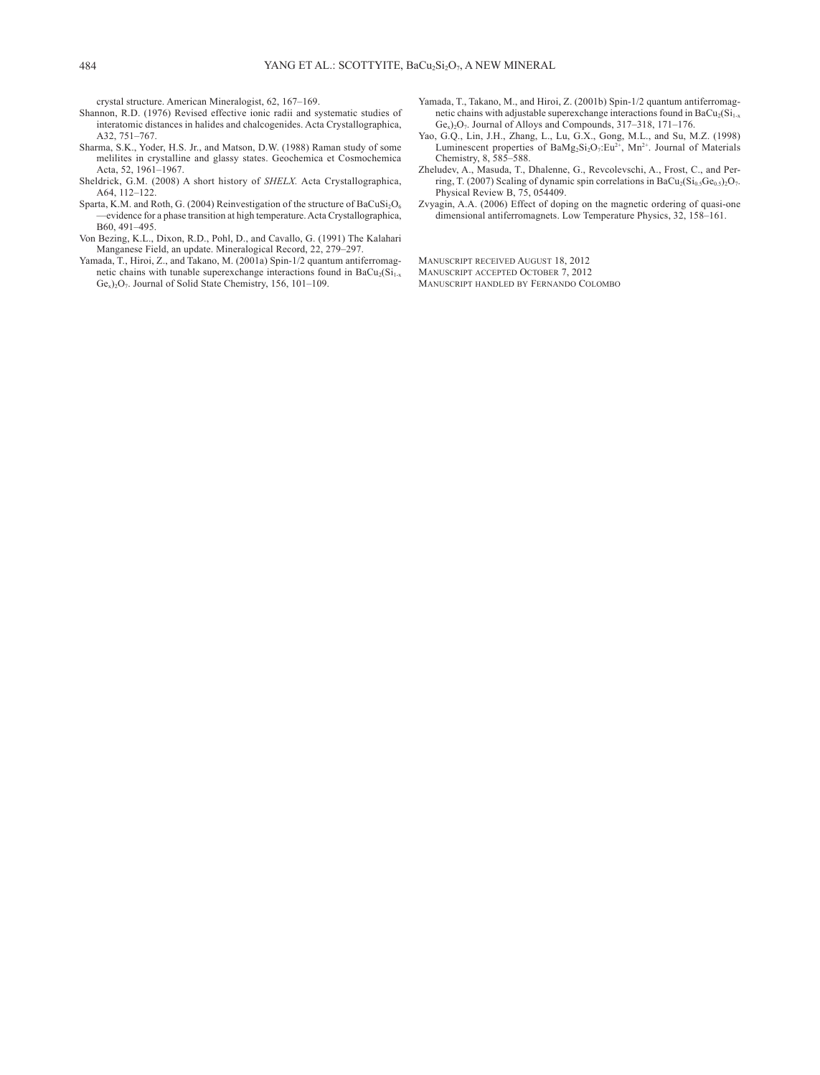crystal structure. American Mineralogist, 62, 167–169.

- Shannon, R.D. (1976) Revised effective ionic radii and systematic studies of interatomic distances in halides and chalcogenides. Acta Crystallographica, A32, 751–767.
- Sharma, S.K., Yoder, H.S. Jr., and Matson, D.W. (1988) Raman study of some melilites in crystalline and glassy states. Geochemica et Cosmochemica Acta, 52, 1961–1967.
- Sheldrick, G.M. (2008) A short history of *SHELX.* Acta Crystallographica, A64, 112–122.
- Sparta, K.M. and Roth, G. (2004) Reinvestigation of the structure of  $BaCuSi<sub>2</sub>O<sub>6</sub>$ —evidence for a phase transition at high temperature. Acta Crystallographica, B60, 491–495.
- Von Bezing, K.L., Dixon, R.D., Pohl, D., and Cavallo, G. (1991) The Kalahari Manganese Field, an update. Mineralogical Record, 22, 279–297.
- Yamada, T., Hiroi, Z., and Takano, M. (2001a) Spin-1/2 quantum antiferromagnetic chains with tunable superexchange interactions found in  $BaCu<sub>2</sub>(Si<sub>1-x</sub>)$ Ge<sub>x</sub>)<sub>2</sub>O<sub>7</sub>. Journal of Solid State Chemistry, 156, 101-109.
- Yamada, T., Takano, M., and Hiroi, Z. (2001b) Spin-1/2 quantum antiferromagnetic chains with adjustable superexchange interactions found in  $BaCu<sub>2</sub>(Si<sub>1-x</sub>)$ Ge<sub>x</sub>)<sub>2</sub>O<sub>7</sub>. Journal of Alloys and Compounds, 317-318, 171-176.
- Yao, G.Q., Lin, J.H., Zhang, L., Lu, G.X., Gong, M.L., and Su, M.Z. (1998) Luminescent properties of  $BaMg_2Si_2O_7:Eu^{2+}$ , Mn<sup>2+</sup>. Journal of Materials Chemistry, 8, 585–588.
- Zheludev, A., Masuda, T., Dhalenne, G., Revcolevschi, A., Frost, C., and Perring, T. (2007) Scaling of dynamic spin correlations in BaCu<sub>2</sub>(Si<sub>0.5</sub>Ge<sub>0.5</sub>)<sub>2</sub>O<sub>7</sub>. Physical Review B, 75, 054409.
- Zvyagin, A.A. (2006) Effect of doping on the magnetic ordering of quasi-one dimensional antiferromagnets. Low Temperature Physics, 32, 158–161.

Manuscript received August 18, 2012

- Manuscript accepted October 7, 2012
- Manuscript handled by Fernando Colombo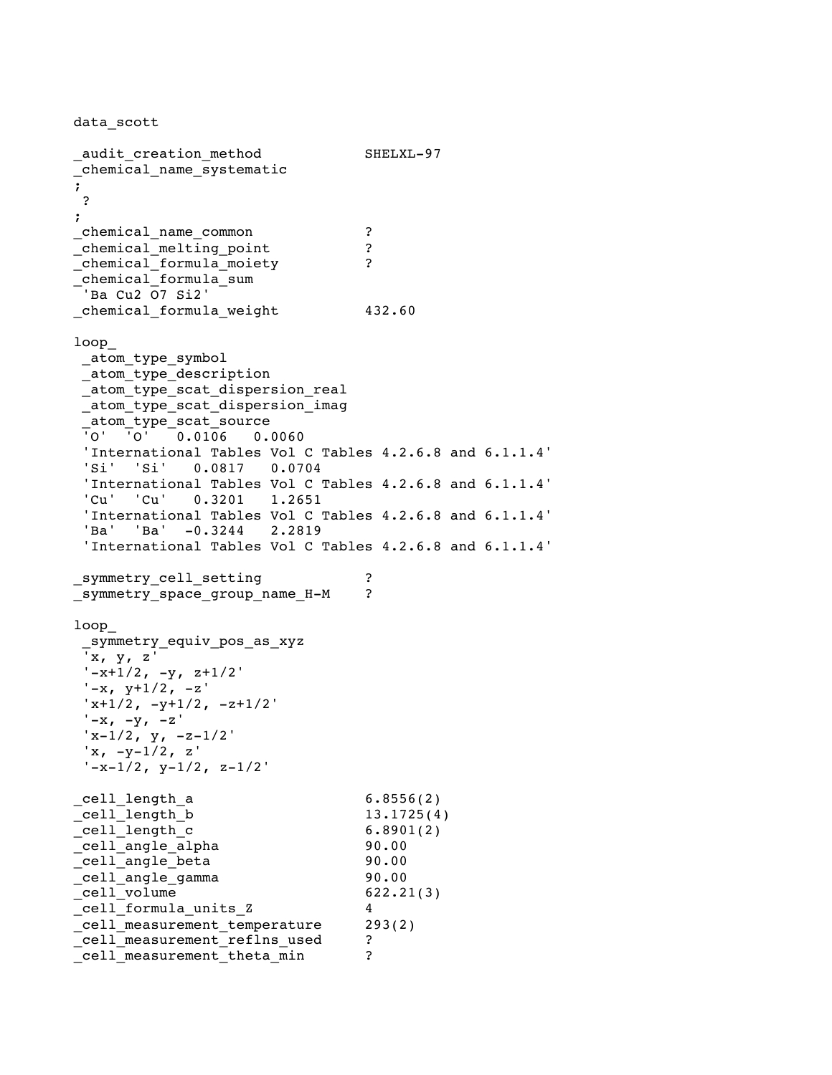data\_scott \_audit\_creation\_method SHELXL-97 \_chemical\_name\_systematic ; ? ; \_chemical\_name\_common ? \_chemical\_melting\_point ? \_chemical\_formula\_moiety ? \_chemical\_formula\_sum 'Ba Cu2 O7 Si2' \_chemical\_formula\_weight 432.60 loop\_ \_atom\_type\_symbol \_atom\_type\_description \_atom\_type\_scat\_dispersion\_real atom type scat dispersion imag \_atom\_type\_scat\_source  $\overline{10}$   $\overline{10}$   $\overline{0}$   $\overline{0}$   $\overline{0}$   $\overline{0}$   $\overline{0}$   $\overline{0}$   $\overline{0}$   $\overline{0}$   $\overline{0}$   $\overline{0}$   $\overline{0}$   $\overline{0}$   $\overline{0}$   $\overline{0}$   $\overline{0}$   $\overline{0}$   $\overline{0}$   $\overline{0}$   $\overline{0}$   $\overline{0}$   $\overline{0}$   $\overline{0}$   $\over$ 'International Tables Vol C Tables 4.2.6.8 and 6.1.1.4' 'Si' 'Si' 0.0817 0.0704 'International Tables Vol C Tables 4.2.6.8 and 6.1.1.4' 'Cu' 'Cu' 0.3201 1.2651 'International Tables Vol C Tables 4.2.6.8 and 6.1.1.4' 'Ba' 'Ba' -0.3244 2.2819 'International Tables Vol C Tables 4.2.6.8 and 6.1.1.4' \_symmetry\_cell\_setting ? \_symmetry\_space\_group\_name\_H-M ? loop\_ \_symmetry\_equiv\_pos\_as\_xyz 'x, y, z'  $'-x+1/2$ ,  $-y$ ,  $z+1/2$ '  $' -x$ ,  $y+1/2$ ,  $-z'$  $'x+1/2$ ,  $-y+1/2$ ,  $-z+1/2'$  $'$ -x, -y, -z'  $'x-1/2$ ,  $y$ ,  $-z-1/2'$ 'x, -y-1/2, z'  $y-x-1/2$ ,  $y-1/2$ ,  $z-1/2'$ \_cell\_length\_a 6.8556(2) cell length b  $13.1725(4)$  $\begin{array}{ccc} \multicolumn{3}{c}{} & \multicolumn{3}{c}{} & \multicolumn{3}{c}{} & \multicolumn{3}{c}{} & \multicolumn{3}{c}{} & \multicolumn{3}{c}{} & \multicolumn{3}{c}{} & \multicolumn{3}{c}{} & \multicolumn{3}{c}{} & \multicolumn{3}{c}{} & \multicolumn{3}{c}{} & \multicolumn{3}{c}{} & \multicolumn{3}{c}{} & \multicolumn{3}{c}{} & \multicolumn{3}{c}{} & \multicolumn{3}{c}{} & \multicolumn{3}{c}{} & \multicolumn{3}{c}{} & \multicolumn{3}{c}{} & \multicolumn$ \_cell\_angle\_alpha 90.00 \_cell\_angle\_beta 90.00 \_cell\_angle\_gamma 90.00  $cell$  volume 622.21(3) \_cell\_formula\_units\_Z 4 \_cell\_measurement\_temperature 293(2) \_cell\_measurement\_reflns\_used ? \_cell\_measurement\_theta\_min ?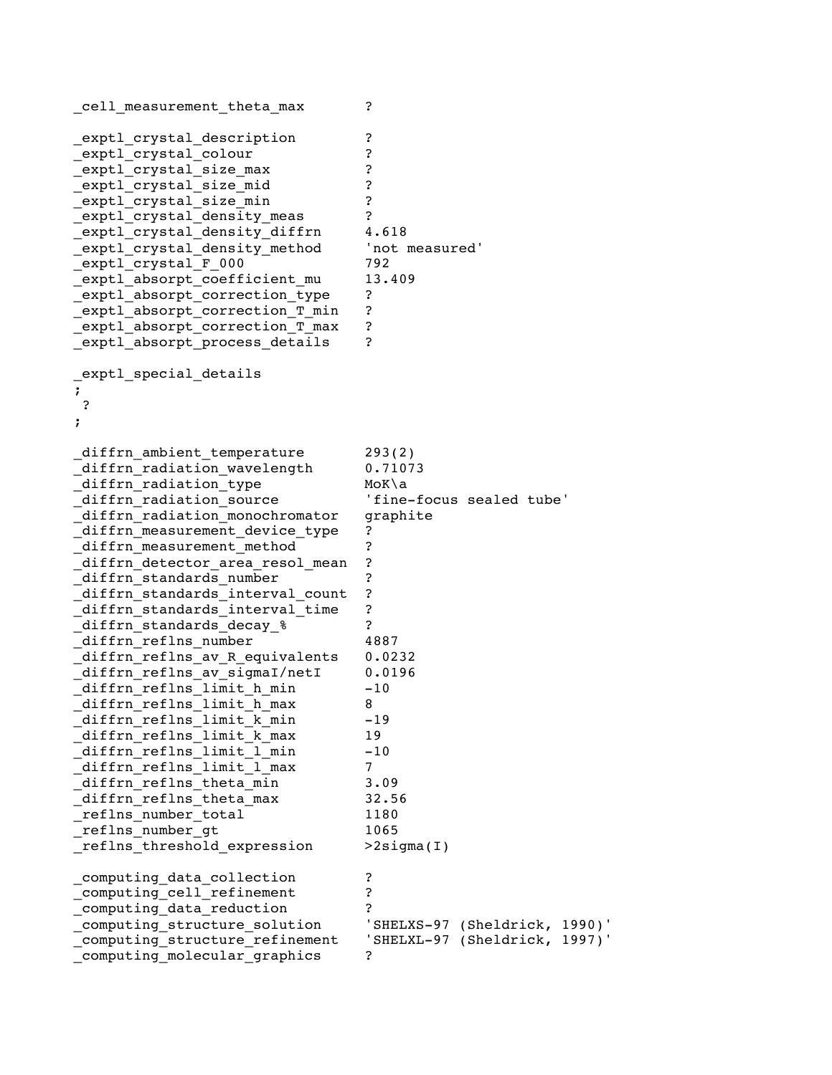```
_cell_measurement_theta_max ? 
_exptl_crystal_description ? 
exptl crystal colour ?
exptl_crystal_size_max ?
_exptl_crystal_size_mid ? 
_exptl_crystal_size_min ? 
exptl crystal density meas ?
exptl crystal density diffrn 4.618
exptl crystal density method 'not measured'
_exptl_crystal_F_000 792 
_exptl_absorpt_coefficient_mu 13.409 
_exptl_absorpt_correction_type ? 
_exptl_absorpt_correction_T_min ? 
_exptl_absorpt_correction_T_max ? 
_exptl_absorpt_process_details ? 
_exptl_special_details 
; 
? 
; 
_diffrn_ambient_temperature 293(2) 
diffrn radiation wavelength 0.71073
diffrn_radiation_type MoK\a
_diffrn_radiation_source 'fine-focus sealed tube' 
_diffrn_radiation_monochromator graphite 
_diffrn_measurement_device_type ? 
diffrn measurement method ?
diffrn detector area resol mean ?
diffrn_standards_number ?
_diffrn_standards_interval_count ? 
_diffrn_standards_interval_time ? 
diffrn_standards_decay_% ?
_diffrn_reflns_number 4887 
_diffrn_reflns_av_R_equivalents 0.0232 
diffrn reflns av sigmaI/netI 0.0196
_diffrn_reflns_limit_h_min -10 
_diffrn_reflns_limit_h_max 8 
diffrn reflns limit k min -19
_diffrn_reflns_limit_k_max 19 
diffrn_reflns_limit_l_min -10
_diffrn_reflns_limit_l_max 7 
_diffrn_reflns_theta_min 3.09 
_diffrn_reflns_theta_max 32.56 
reflns number total 1180
_reflns_number_gt 1065 
_reflns_threshold_expression >2sigma(I) 
_computing_data_collection ? 
_computing_cell_refinement ? 
_computing_data_reduction ? 
_computing_structure_solution 'SHELXS-97 (Sheldrick, 1990)' 
_computing_structure_refinement 'SHELXL-97 (Sheldrick, 1997)' 
computing molecular graphics ?
```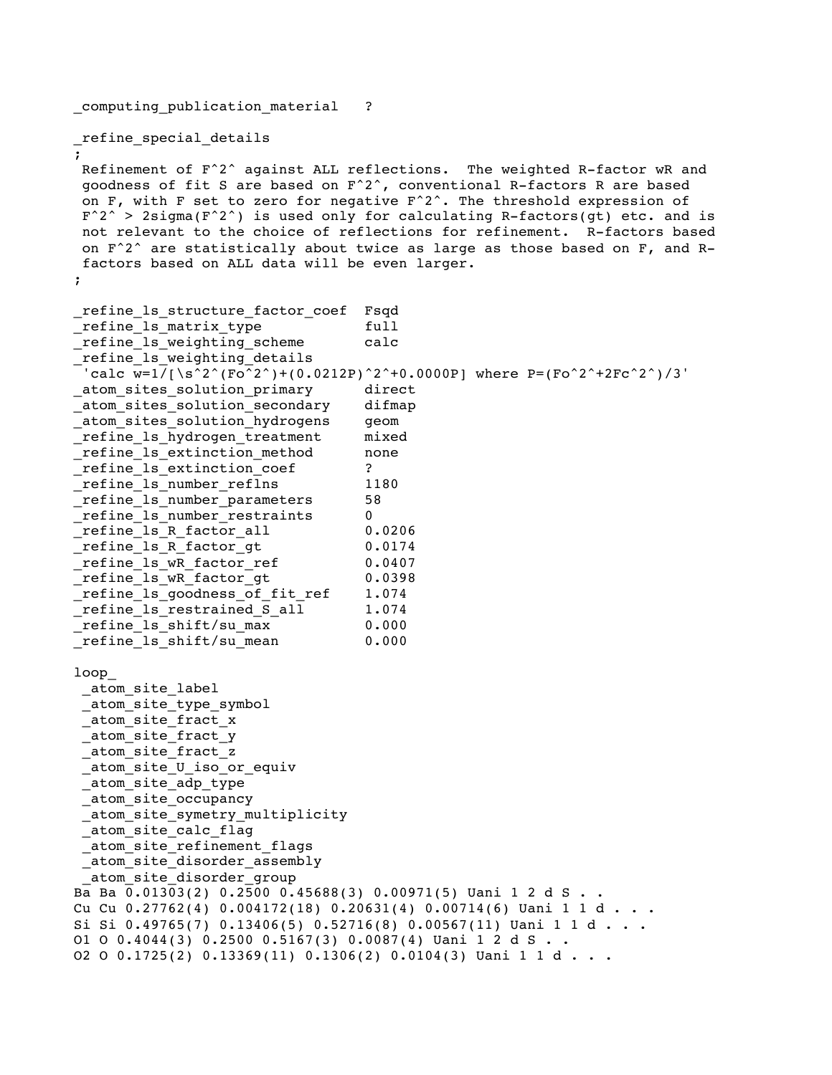\_computing\_publication\_material ?

\_refine\_special\_details

;

Refinement of F^2^ against ALL reflections. The weighted R-factor wR and goodness of fit S are based on F^2^, conventional R-factors R are based on F, with F set to zero for negative  $F^2$ . The threshold expression of  $F^2$  > 2sigma(F<sup> $\textdegree$ 2^) is used only for calculating R-factors(gt) etc. and is</sup> not relevant to the choice of reflections for refinement. R-factors based on  $F^2$  are statistically about twice as large as those based on F, and Rfactors based on ALL data will be even larger. ;

```
_refine_ls_structure_factor_coef Fsqd 
_refine_ls_matrix_type full 
_refine_ls_weighting_scheme calc 
_refine_ls_weighting_details 
 'calc w=1/[\n\sqrt{5^2/(Fo^2)^+(0.0212P)^2^+0.0000P}] where P=(Fo^2^+2Fc^2^+)/3'atom sites solution primary accordinect
atom sites solution secondary difmap
_atom_sites_solution_hydrogens geom 
_refine_ls_hydrogen_treatment mixed 
_refine_ls_extinction_method none 
refine 1s extinction coef ?
refine 1s number reflns 1180
_refine_ls_number_parameters 58 
_refine_ls_number_restraints 0 
_refine_ls_R_factor_all 0.0206 
refine ls R factor gt 0.0174refine ls wR factor ref 0.0407
_refine_ls_wR_factor_gt 0.0398 
_refine_ls_goodness_of_fit_ref 1.074 
_refine_ls_restrained_S_all 1.074 
_refine_ls_shift/su_max 0.000 
_refine_ls_shift/su_mean 0.000 
loop_ 
 _atom_site_label 
 _atom_site_type_symbol 
 _atom_site_fract_x 
 _atom_site_fract_y 
 _atom_site_fract_z 
 _atom_site_U_iso_or_equiv 
 _atom_site_adp_type 
 _atom_site_occupancy 
 atom site symetry multiplicity
 _atom_site_calc_flag 
 _atom_site_refinement_flags 
_atom_site_disorder_assembly 
 _atom_site_disorder_group 
Ba Ba 0.01303(2) 0.2500 0.45688(3) 0.00971(5) Uani 1 2 d S . . 
Cu Cu 0.27762(4) 0.004172(18) 0.20631(4) 0.00714(6) Uani 1 1 d . . .
Si Si 0.49765(7) 0.13406(5) 0.52716(8) 0.00567(11) Uani 1 1 d . . .
O1 O 0.4044(3) 0.2500 0.5167(3) 0.0087(4) Uani 1 2 d S . . 
O2 O 0.1725(2) 0.13369(11) 0.1306(2) 0.0104(3) Uani 1 1 d \ldots
```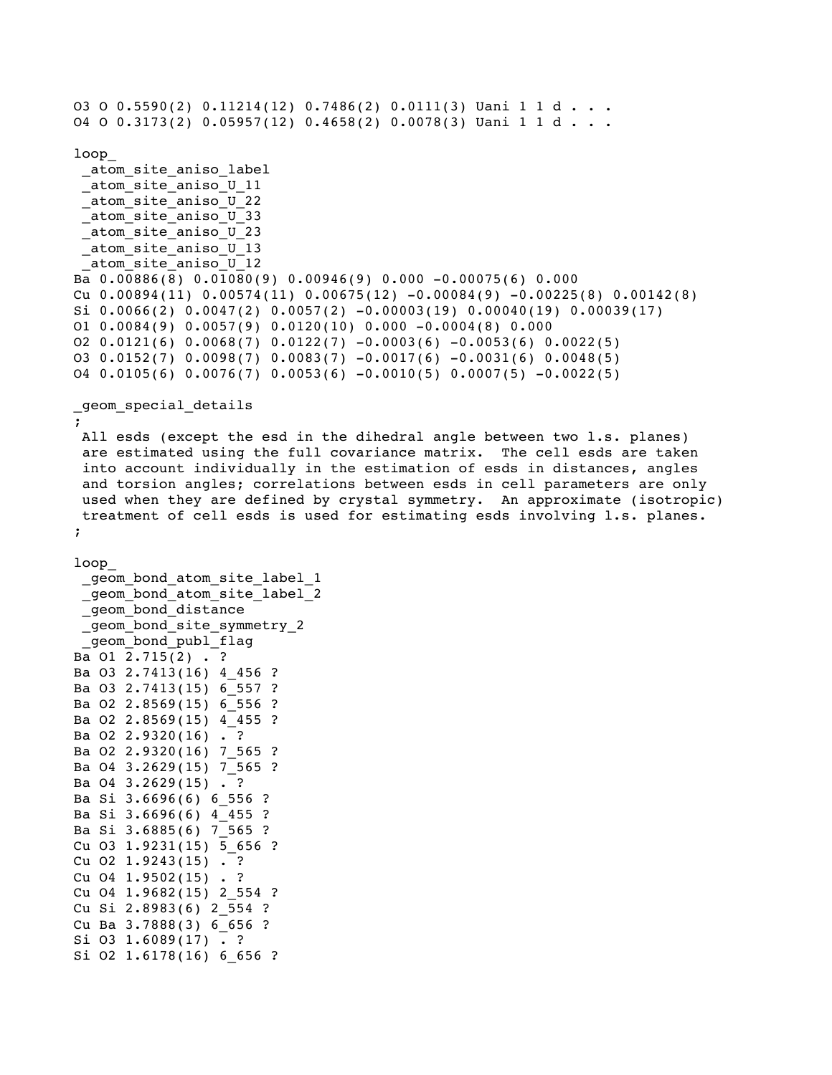```
O3 O 0.5590(2) 0.11214(12) 0.7486(2) 0.0111(3) Uani 1 1 d \ldotsO4 O 0.3173(2) 0.05957(12) 0.4658(2) 0.0078(3) Uani 1 1 d \cdot \cdotloop_ 
_atom_site_aniso_label 
_atom_site_aniso_U_11 
_atom_site_aniso_U_22 
_atom_site_aniso_U_33 
_atom_site_aniso_U_23 
_atom_site_aniso_U_13 
 _atom_site_aniso_U_12 
Ba 0.00886(8) 0.01080(9) 0.00946(9) 0.000 -0.00075(6) 0.000 
Cu 0.00894(11) 0.00574(11) 0.00675(12) -0.00084(9) -0.00225(8) 0.00142(8)Si 0.0066(2) 0.0047(2) 0.0057(2) -0.00003(19) 0.00040(19) 0.00039(17)O1 0.0084(9) 0.0057(9) 0.0120(10) 0.000 -0.0004(8) 0.000O2 0.0121(6) 0.0068(7) 0.0122(7) -0.0003(6) -0.0053(6) 0.0022(5)O3 0.0152(7) 0.0098(7) 0.0083(7) -0.0017(6) -0.0031(6) 0.0048(5)04 0.0105(6) 0.0076(7) 0.0053(6) -0.0010(5) 0.0007(5) -0.0022(5)_geom_special_details 
; 
All esds (except the esd in the dihedral angle between two l.s. planes) 
are estimated using the full covariance matrix. The cell esds are taken 
into account individually in the estimation of esds in distances, angles 
and torsion angles; correlations between esds in cell parameters are only 
used when they are defined by crystal symmetry. An approximate (isotropic) 
treatment of cell esds is used for estimating esds involving l.s. planes. 
; 
loop_ 
qeom bond atom site label 1
_geom_bond_atom_site_label_2 
_geom_bond_distance
_geom_bond_site_symmetry_2 
geom bond publ flag
Ba O1 2.715(2) . ? 
Ba O3 2.7413(16) 4_456 ? 
Ba O3 2.7413(15) 6_557 ? 
Ba O2 2.8569(15) 6_556 ? 
Ba O2 2.8569(15) 4_455 ? 
Ba 02 2.9320(16) . ?
```
Ba O2 2.9320(16) 7 565 ? Ba O4 3.2629(15) 7\_565 ? Ba  $04$  3.2629(15) . ? Ba Si 3.6696(6) 6\_556 ? Ba Si 3.6696(6) 4\_455 ? Ba Si  $3.6885(6)$  7 565 ? Cu O3 1.9231(15) 5\_656 ? Cu O2 1.9243(15) . ? Cu  $04$  1.9502(15) . ? Cu O4 1.9682(15) 2\_554 ? Cu Si 2.8983(6) 2\_554 ? Cu Ba 3.7888(3) 6\_656 ? Si O3 1.6089(17) . ?

Si O2 1.6178(16) 6 656 ?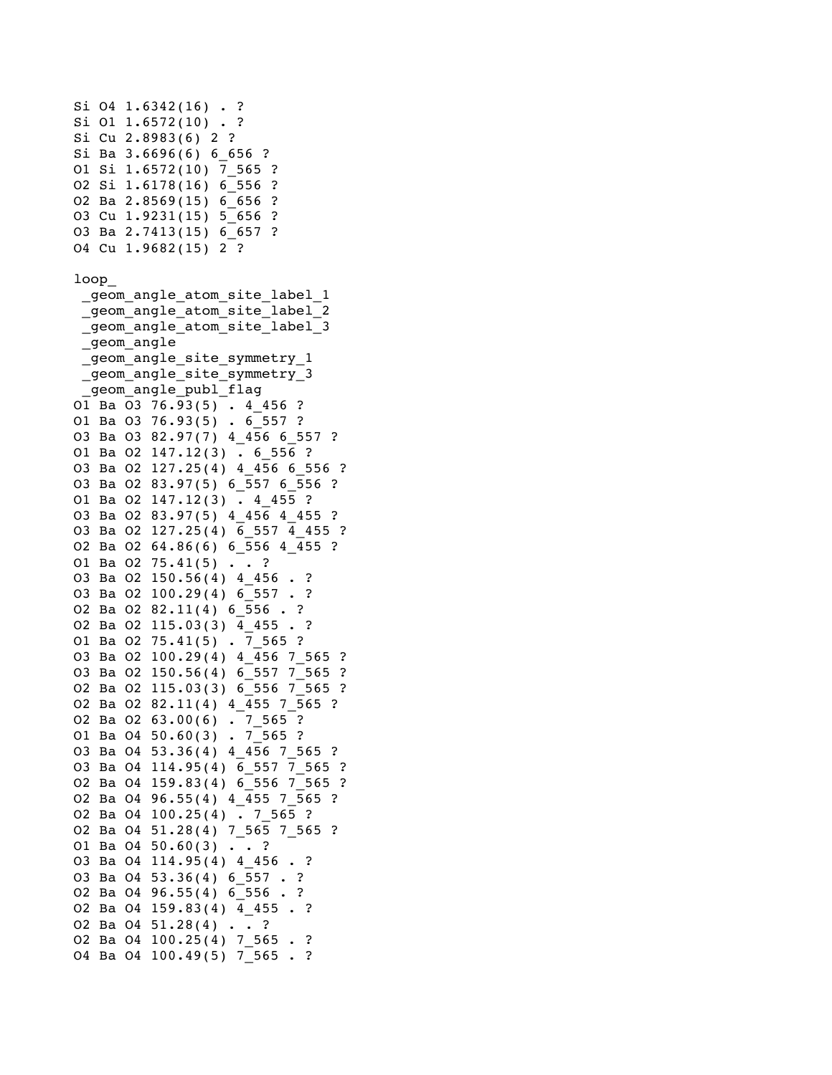```
Si 04 1.6342(16) . ?
Si O1 1.6572(10) . ? 
Si Cu 2.8983(6) 2 ? 
Si Ba 3.6696(6) 6 656 ?
O1 Si 1.6572(10) 7_565 ? 
O2 Si 1.6178(16) 6_556 ? 
O2 Ba 2.8569(15) 6_656 ? 
O3 Cu 1.9231(15) 5_656 ? 
O3 Ba 2.7413(15) 6_657 ? 
O4 Cu 1.9682(15) 2 ? 
loop_ 
 _geom_angle_atom_site_label_1 
 _geom_angle_atom_site_label_2 
 _geom_angle_atom_site_label_3 
 _geom_angle 
 _geom_angle_site_symmetry_1 
 _geom_angle_site_symmetry_3 
  geom angle publ flag
O1 Ba O3 76.93(5) . 4_456 ? 
O1 Ba O3 76.93(5) . 6_557 ? 
O3 Ba O3 82.97(7) 4_456 6_557 ? 
O1 Ba O2 147.12(3) . 6_556 ? 
O3 Ba O2 127.25(4) 4_456 6_556 ? 
O3 Ba O2 83.97(5) 6_557 6_556 ? 
O1 Ba O2 147.12(3) . 4_455 ? 
O3 Ba O2 83.97(5) 4_456 4_455 ? 
O3 Ba O2 127.25(4) 6_557 4_455 ? 
O2 Ba O2 64.86(6) 6_556 4_455 ? 
O1 Ba O2 75.41(5) . . ?
O3 Ba O2 150.56(4) 4_456 . ? 
O3 Ba O2 100.29(4) 6_557 . ? 
O2 Ba O2 82.11(4) 6 556 . ?
O2 Ba O2 115.03(3) 4_455 . ? 
O1 Ba O2 75.41(5) . 7 565 ?
O3 Ba O2 100.29(4) 4_456 7_565 ? 
O3 Ba O2 150.56(4) 6_557 7_565 ? 
O2 Ba O2 115.03(3) 6_556 7_565 ? 
O2 Ba O2 82.11(4) 4_455 7_565 ? 
O2 Ba O2 63.00(6) . 7_565 ? 
O1 Ba O4 50.60(3) . 7\overline{565} ?
O3 Ba O4 53.36(4) 4_456 7_565 ? 
O3 Ba O4 114.95(4) 6_557 7_565 ? 
O2 Ba O4 159.83(4) 6_556 7_565 ? 
O2 Ba O4 96.55(4) 4_455 7_565 ? 
O2 Ba O4 100.25(4) . 7_565 ? 
O2 Ba O4 51.28(4) 7_565 7_565 ? 
O1 Ba O4 50.60(3) . . ?
O3 Ba O4 114.95(4) 4 456 . ?
O3 Ba O4 53.36(4) 6 557 . ?
O2 Ba O4 96.55(4) 6_556 . ? 
O2 Ba O4 159.83(4) 4_455 . ? 
O2 Ba O4 51.28(4) . . ? 
O2 Ba O4 100.25(4) 7 565 . ?
O4 Ba O4 100.49(5) 7 565 . ?
```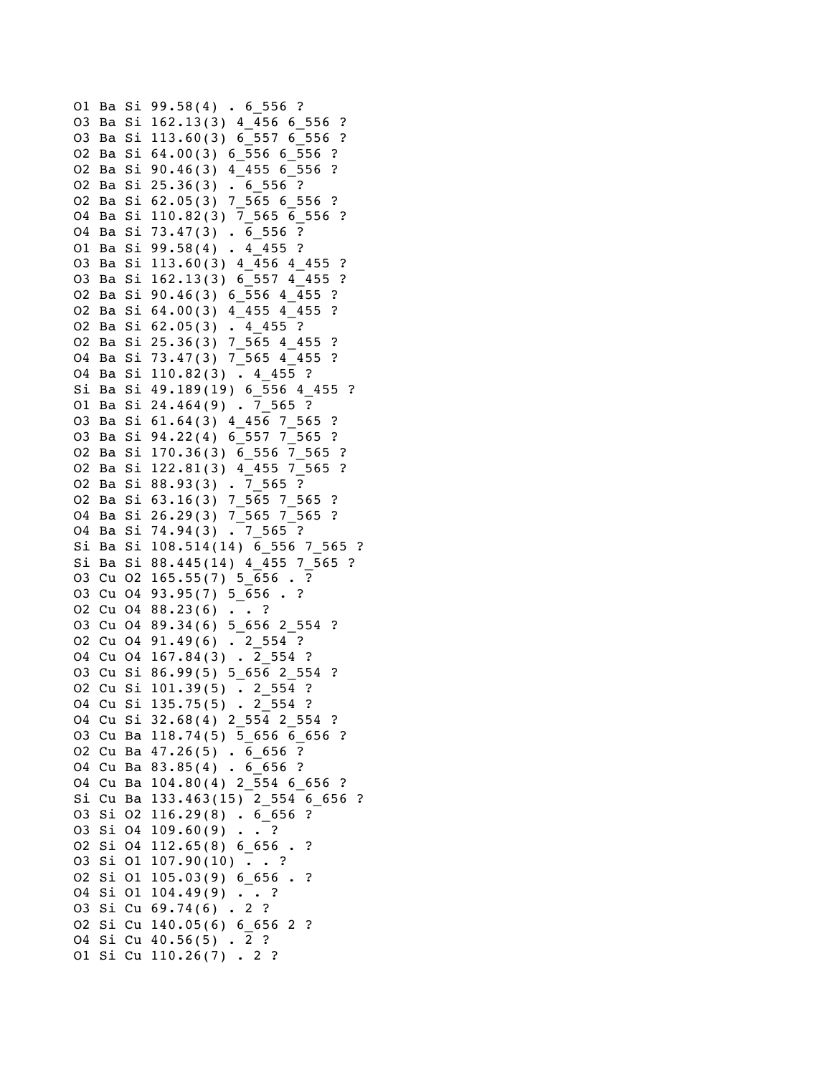```
O1 Ba Si 99.58(4) . 6_556 ? 
O3 Ba Si 162.13(3) 4_456 6_556 ? 
O3 Ba Si 113.60(3) 6_557 6_556 ? 
O2 Ba Si 64.00(3) 6_556 6_556 ? 
O2 Ba Si 90.46(3) 4_455 6_556 ? 
O2 Ba Si 25.36(3) . 6_556 ? 
O2 Ba Si 62.05(3) 7_565 6_556 ? 
O4 Ba Si 110.82(3) 7_565 6_556 ? 
O4 Ba Si 73.47(3) . 6_556 ? 
O1 Ba Si 99.58(4) . 4_455 ? 
O3 Ba Si 113.60(3) 4_456 4_455 ? 
O3 Ba Si 162.13(3) 6_557 4_455 ? 
O2 Ba Si 90.46(3) 6_556 4_455 ? 
O2 Ba Si 64.00(3) 4_455 4_455 ? 
O2 Ba Si 62.05(3) . 4_455 ? 
O2 Ba Si 25.36(3) 7_565 4_455 ? 
O4 Ba Si 73.47(3) 7_565 4_455 ? 
O4 Ba Si 110.82(3) . 4_455 ? 
Si Ba Si 49.189(19) 6_556 4_455 ? 
O1 Ba Si 24.464(9) . 7_565 ? 
O3 Ba Si 61.64(3) 4_456 7_565 ? 
O3 Ba Si 94.22(4) 6_557 7_565 ? 
O2 Ba Si 170.36(3) 6_556 7_565 ? 
O2 Ba Si 122.81(3) 4_455 7_565 ? 
O2 Ba Si 88.93(3) . 7_565 ? 
O2 Ba Si 63.16(3) 7_565 7_565 ? 
O4 Ba Si 26.29(3) 7_565 7_565 ? 
O4 Ba Si 74.94(3) . 7_565 ? 
Si Ba Si 108.514(14) 6_556 7_565 ? 
Si Ba Si 88.445(14) 4_455 7_565 ? 
O3 Cu O2 165.55(7) 5 656 . ?
O3 Cu O4 93.95(7) 5_656 . ? 
O2 Cu O4 88.23(6) . . ? 
O3 Cu O4 89.34(6) 5_656 2_554 ? 
O2 Cu O4 91.49(6) . 2_554 ? 
O4 Cu O4 167.84(3) . 2_554 ? 
O3 Cu Si 86.99(5) 5_656 2_554 ? 
O2 Cu Si 101.39(5) . 2_554 ? 
O4 Cu Si 135.75(5) . 2_554 ? 
O4 Cu Si 32.68(4) 2_554 2_554 ? 
O3 Cu Ba 118.74(5) 5 656 6 656 ?
O2 Cu Ba 47.26(5) . 6_656 ? 
O4 Cu Ba 83.85(4) . 6_656 ? 
O4 Cu Ba 104.80(4) 2 554 6 656 ?
Si Cu Ba 133.463(15) 2_554 6_656 ? 
O3 Si O2 116.29(8) . 6_656 ? 
O3 Si O4 109.60(9) . . ? 
O2 Si O4 112.65(8) 6_656 . ? 
O3 Si O1 107.90(10) . . ? 
O2 Si O1 105.03(9) 6_656 . ? 
O4 Si O1 104.49(9) . . ? 
O3 Si Cu 69.74(6) . 2 ? 
O2 Si Cu 140.05(6) 6_656 2 ? 
O4 Si Cu 40.56(5) . 2 ? 
O1 Si Cu 110.26(7) . 2 ?
```